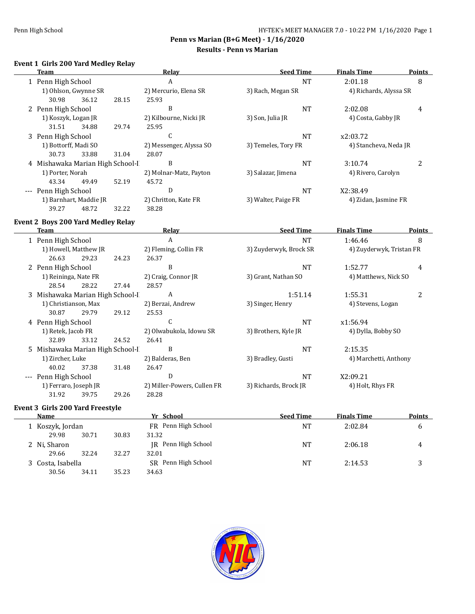$\overline{\phantom{0}}$ 

**Penn vs Marian (B+G Meet) - 1/16/2020**

# **Results - Penn vs Marian**

# **Event 1 Girls 200 Yard Medley Relay**

| Team                             |       |       | Relay                   | <b>Seed Time</b>    | <b>Finals Time</b>     | <b>Points</b> |
|----------------------------------|-------|-------|-------------------------|---------------------|------------------------|---------------|
| 1 Penn High School               |       |       | A                       | <b>NT</b>           | 2:01.18                | 8             |
| 1) Ohlson, Gwynne SR             |       |       | 2) Mercurio, Elena SR   | 3) Rach, Megan SR   | 4) Richards, Alyssa SR |               |
| 30.98                            | 36.12 | 28.15 | 25.93                   |                     |                        |               |
| 2 Penn High School               |       |       | B                       | NT                  | 2:02.08                | 4             |
| 1) Koszyk, Logan JR              |       |       | 2) Kilbourne, Nicki JR  | 3) Son, Julia JR    | 4) Costa, Gabby JR     |               |
| 31.51                            | 34.88 | 29.74 | 25.95                   |                     |                        |               |
| 3 Penn High School               |       |       | C                       | NT                  | x2:03.72               |               |
| 1) Bottorff, Madi SO             |       |       | 2) Messenger, Alyssa SO | 3) Temeles, Tory FR | 4) Stancheva, Neda JR  |               |
| 30.73                            | 33.88 | 31.04 | 28.07                   |                     |                        |               |
| 4 Mishawaka Marian High School-I |       |       | B                       | NT                  | 3:10.74                | 2             |
| 1) Porter, Norah                 |       |       | 2) Molnar-Matz, Payton  | 3) Salazar, Jimena  | 4) Rivero, Carolyn     |               |
| 43.34                            | 49.49 | 52.19 | 45.72                   |                     |                        |               |
| --- Penn High School             |       |       | D                       | NT                  | X2:38.49               |               |
| 1) Barnhart, Maddie JR           |       |       | 2) Chritton, Kate FR    | 3) Walter, Paige FR | 4) Zidan, Jasmine FR   |               |
| 39.27                            | 48.72 | 32.22 | 38.28                   |                     |                        |               |

#### **Event 2 Boys 200 Yard Medley Relay**

|          | Team                             |       |       | Relay                       | <b>Seed Time</b>       | <b>Finals Time</b>                                                                                                                                     | <b>Points</b> |
|----------|----------------------------------|-------|-------|-----------------------------|------------------------|--------------------------------------------------------------------------------------------------------------------------------------------------------|---------------|
|          | 1 Penn High School               |       |       | A                           | <b>NT</b>              | 1:46.46                                                                                                                                                | 8             |
|          | 1) Howell, Matthew JR            |       |       | 2) Fleming, Collin FR       | 3) Zuyderwyk, Brock SR |                                                                                                                                                        |               |
|          | 26.63                            | 29.23 | 24.23 | 26.37                       |                        |                                                                                                                                                        |               |
|          | 2 Penn High School               |       |       | B                           | <b>NT</b>              | 1:52.77                                                                                                                                                | 4             |
|          | 1) Reininga, Nate FR             |       |       | 2) Craig, Connor JR         | 3) Grant, Nathan SO    |                                                                                                                                                        |               |
|          | 28.54                            | 28.22 | 27.44 | 28.57                       |                        |                                                                                                                                                        |               |
|          | 3 Mishawaka Marian High School-I |       |       | A                           | 1:51.14                | 1:55.31                                                                                                                                                | 2             |
|          | 1) Christianson, Max             |       |       | 2) Berzai, Andrew           | 3) Singer, Henry       | 4) Stevens, Logan                                                                                                                                      |               |
|          | 30.87                            | 29.79 | 29.12 | 25.53                       |                        |                                                                                                                                                        |               |
|          | 4 Penn High School               |       |       | C                           | <b>NT</b>              | 4) Zuyderwyk, Tristan FR<br>4) Matthews, Nick SO<br>x1:56.94<br>4) Dylla, Bobby SO<br>2:15.35<br>4) Marchetti, Anthony<br>X2:09.21<br>4) Holt, Rhys FR |               |
|          | 1) Retek, Jacob FR               |       |       | 2) Olwabukola, Idowu SR     | 3) Brothers, Kyle JR   |                                                                                                                                                        |               |
|          | 32.89                            | 33.12 | 24.52 | 26.41                       |                        |                                                                                                                                                        |               |
|          | 5 Mishawaka Marian High School-I |       |       | B                           | <b>NT</b>              |                                                                                                                                                        |               |
|          | 1) Zircher, Luke                 |       |       | 2) Balderas, Ben            | 3) Bradley, Gusti      |                                                                                                                                                        |               |
|          | 40.02                            | 37.38 | 31.48 | 26.47                       |                        |                                                                                                                                                        |               |
| $\cdots$ | Penn High School                 |       |       | D                           | <b>NT</b>              |                                                                                                                                                        |               |
|          | 1) Ferraro, Joseph JR            |       |       | 2) Miller-Powers, Cullen FR | 3) Richards, Brock JR  |                                                                                                                                                        |               |
|          | 31.92                            | 39.75 | 29.26 | 28.28                       |                        |                                                                                                                                                        |               |

# **Event 3 Girls 200 Yard Freestyle**

| Name                                                                                                                                                   |                   |           | Yr School           | <b>Seed Time</b> | <b>Finals Time</b> | <b>Points</b> |
|--------------------------------------------------------------------------------------------------------------------------------------------------------|-------------------|-----------|---------------------|------------------|--------------------|---------------|
| FR Penn High School<br>1 Koszyk, Jordan<br>30.83<br>31.32<br>29.98<br>30.71<br>IR Penn High School<br>2 Ni, Sharon<br>32.27<br>32.01<br>32.24<br>29.66 |                   | <b>NT</b> | 2:02.84             | b                |                    |               |
|                                                                                                                                                        |                   |           |                     |                  |                    |               |
|                                                                                                                                                        |                   |           |                     | <b>NT</b>        | 2:06.18            | 4             |
|                                                                                                                                                        |                   |           |                     |                  |                    |               |
|                                                                                                                                                        | 3 Costa, Isabella |           | SR Penn High School | <b>NT</b>        | 2:14.53            |               |
|                                                                                                                                                        | 30.56<br>34.11    | 35.23     | 34.63               |                  |                    |               |

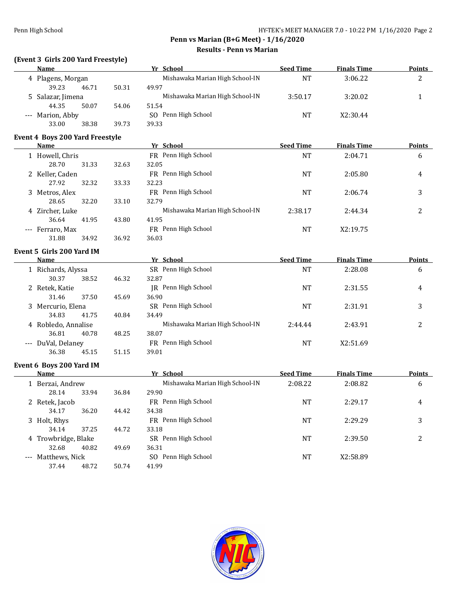# **(Event 3 Girls 200 Yard Freestyle)**

| Name                                    |       | Yr School                       | <b>Seed Time</b> | <b>Finals Time</b> | <b>Points</b>  |
|-----------------------------------------|-------|---------------------------------|------------------|--------------------|----------------|
| 4 Plagens, Morgan                       |       | Mishawaka Marian High School-IN | <b>NT</b>        | 3:06.22            | 2              |
| 39.23<br>46.71                          | 50.31 | 49.97                           |                  |                    |                |
| 5 Salazar, Jimena                       |       | Mishawaka Marian High School-IN | 3:50.17          | 3:20.02            | 1              |
| 44.35<br>50.07                          | 54.06 | 51.54                           |                  |                    |                |
| --- Marion, Abby                        |       | SO Penn High School             | <b>NT</b>        | X2:30.44           |                |
| 33.00<br>38.38                          | 39.73 | 39.33                           |                  |                    |                |
| Event 4 Boys 200 Yard Freestyle         |       |                                 |                  |                    |                |
| <b>Name</b>                             |       | Yr School                       | <b>Seed Time</b> | <b>Finals Time</b> | <b>Points</b>  |
| 1 Howell, Chris                         |       | FR Penn High School             | <b>NT</b>        | 2:04.71            | 6              |
| 28.70<br>31.33                          | 32.63 | 32.05                           |                  |                    |                |
| 2 Keller, Caden                         |       | FR Penn High School             | <b>NT</b>        | 2:05.80            | 4              |
| 27.92<br>32.32                          | 33.33 | 32.23                           |                  |                    |                |
| 3 Metros, Alex                          |       | FR Penn High School             | NT               | 2:06.74            | 3              |
| 28.65<br>32.20                          | 33.10 | 32.79                           |                  |                    |                |
| 4 Zircher, Luke                         |       | Mishawaka Marian High School-IN | 2:38.17          | 2:44.34            | $\overline{2}$ |
| 36.64<br>41.95                          | 43.80 | 41.95                           |                  |                    |                |
|                                         |       | FR Penn High School             |                  |                    |                |
| --- Ferraro, Max<br>31.88               |       | 36.03                           | <b>NT</b>        | X2:19.75           |                |
| 34.92                                   | 36.92 |                                 |                  |                    |                |
| Event 5 Girls 200 Yard IM               |       |                                 |                  |                    |                |
| <b>Name</b>                             |       | Yr School                       | <b>Seed Time</b> | <b>Finals Time</b> | <b>Points</b>  |
| 1 Richards, Alyssa                      |       | SR Penn High School             | NT               | 2:28.08            | 6              |
| 30.37<br>38.52                          | 46.32 | 32.87                           |                  |                    |                |
| 2 Retek, Katie                          |       | JR Penn High School             | NT               | 2:31.55            | 4              |
| 31.46<br>37.50                          | 45.69 | 36.90                           |                  |                    |                |
| 3 Mercurio, Elena                       |       | SR Penn High School             | NT               | 2:31.91            | 3              |
| 34.83<br>41.75                          | 40.84 | 34.49                           |                  |                    |                |
| 4 Robledo, Annalise                     |       | Mishawaka Marian High School-IN | 2:44.44          | 2:43.91            | 2              |
| 36.81<br>40.78                          | 48.25 | 38.07                           |                  |                    |                |
| --- DuVal, Delaney                      |       | FR Penn High School             | NT               | X2:51.69           |                |
| 36.38<br>45.15                          | 51.15 | 39.01                           |                  |                    |                |
|                                         |       |                                 |                  |                    |                |
| Event 6 Boys 200 Yard IM<br><b>Name</b> |       | Yr School                       | <b>Seed Time</b> | <b>Finals Time</b> | <b>Points</b>  |
|                                         |       | Mishawaka Marian High School-IN | 2:08.22          | 2:08.82            | 6              |
| 1 Berzai, Andrew<br>28.14<br>33.94      | 36.84 | 29.90                           |                  |                    |                |
|                                         |       | FR Penn High School             |                  |                    |                |
| 2 Retek, Jacob                          |       |                                 | NT               | 2:29.17            | 4              |
| 34.17<br>36.20                          | 44.42 | 34.38                           |                  |                    |                |
| 3 Holt, Rhys                            |       | FR Penn High School             | NT               | 2:29.29            | 3              |
| 34.14<br>37.25                          | 44.72 | 33.18                           |                  |                    |                |
| 4 Trowbridge, Blake                     |       | SR Penn High School             | <b>NT</b>        | 2:39.50            | $\overline{c}$ |
| 32.68<br>40.82                          | 49.69 | 36.31                           |                  |                    |                |
| --- Matthews, Nick                      |       | SO Penn High School             | <b>NT</b>        | X2:58.89           |                |
| 48.72<br>37.44                          | 50.74 | 41.99                           |                  |                    |                |

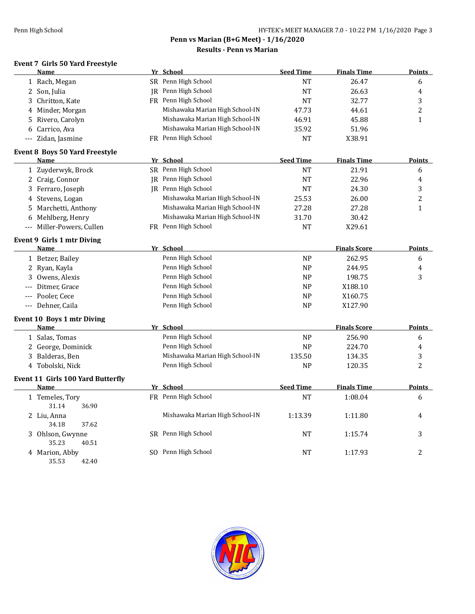# **Penn vs Marian (B+G Meet) - 1/16/2020**

#### **Results - Penn vs Marian**

# **Event 7 Girls 50 Yard Freestyle**

| Name                                     | Yr School                       | <b>Seed Time</b> | <b>Finals Time</b>  | <b>Points</b>  |
|------------------------------------------|---------------------------------|------------------|---------------------|----------------|
| 1 Rach, Megan                            | SR Penn High School             | <b>NT</b>        | 26.47               | 6              |
| 2 Son, Julia                             | <b>IR</b> Penn High School      | <b>NT</b>        | 26.63               | 4              |
| 3 Chritton, Kate                         | FR Penn High School             | <b>NT</b>        | 32.77               | 3              |
| 4 Minder, Morgan                         | Mishawaka Marian High School-IN | 47.73            | 44.61               | $\overline{c}$ |
| Rivero, Carolyn<br>5                     | Mishawaka Marian High School-IN | 46.91            | 45.88               | $\mathbf{1}$   |
| 6 Carrico, Ava                           | Mishawaka Marian High School-IN | 35.92            | 51.96               |                |
| --- Zidan, Jasmine                       | FR Penn High School             | NT               | X38.91              |                |
| Event 8 Boys 50 Yard Freestyle           |                                 |                  |                     |                |
| Name                                     | Yr School                       | <b>Seed Time</b> | <b>Finals Time</b>  | <b>Points</b>  |
| 1 Zuyderwyk, Brock                       | SR Penn High School             | NT               | 21.91               | 6              |
| 2 Craig, Connor                          | JR Penn High School             | <b>NT</b>        | 22.96               | 4              |
| 3 Ferraro, Joseph                        | <b>IR</b> Penn High School      | NT               | 24.30               | 3              |
| 4 Stevens, Logan                         | Mishawaka Marian High School-IN | 25.53            | 26.00               | $\overline{c}$ |
| 5 Marchetti, Anthony                     | Mishawaka Marian High School-IN | 27.28            | 27.28               | $\mathbf{1}$   |
| 6 Mehlberg, Henry                        | Mishawaka Marian High School-IN | 31.70            | 30.42               |                |
| --- Miller-Powers, Cullen                | FR Penn High School             | <b>NT</b>        | X29.61              |                |
| <b>Event 9 Girls 1 mtr Diving</b>        |                                 |                  |                     |                |
| Name                                     | Yr School                       |                  | <b>Finals Score</b> | <b>Points</b>  |
| 1 Betzer, Bailey                         | Penn High School                | <b>NP</b>        | 262.95              | 6              |
| 2 Ryan, Kayla                            | Penn High School                | <b>NP</b>        | 244.95              | 4              |
| 3 Owens, Alexis                          | Penn High School                | <b>NP</b>        | 198.75              | 3              |
| Ditmer, Grace                            | Penn High School                | <b>NP</b>        | X188.10             |                |
| --- Pooler, Cece                         | Penn High School                | <b>NP</b>        | X160.75             |                |
| --- Dehner, Caila                        | Penn High School                | <b>NP</b>        | X127.90             |                |
| Event 10 Boys 1 mtr Diving               |                                 |                  |                     |                |
| <b>Name</b>                              | Yr School                       |                  | <b>Finals Score</b> | <b>Points</b>  |
| 1 Salas, Tomas                           | Penn High School                | <b>NP</b>        | 256.90              | 6              |
| 2 George, Dominick                       | Penn High School                | NP               | 224.70              | 4              |
| 3 Balderas, Ben                          | Mishawaka Marian High School-IN | 135.50           | 134.35              | 3              |
| 4 Tobolski, Nick                         | Penn High School                | <b>NP</b>        | 120.35              | 2              |
| <b>Event 11 Girls 100 Yard Butterfly</b> |                                 |                  |                     |                |
| Name                                     | Yr School                       | <b>Seed Time</b> | <b>Finals Time</b>  | <b>Points</b>  |
| 1 Temeles, Tory<br>31.14<br>36.90        | FR Penn High School             | NT               | 1:08.04             | 6              |
| 2 Liu, Anna<br>34.18<br>37.62            | Mishawaka Marian High School-IN | 1:13.39          | 1:11.80             | 4              |
| 3 Ohlson, Gwynne<br>35.23<br>40.51       | SR Penn High School             | <b>NT</b>        | 1:15.74             | 3              |
| 4 Marion, Abby<br>35.53<br>42.40         | SO Penn High School             | NT               | 1:17.93             | 2              |

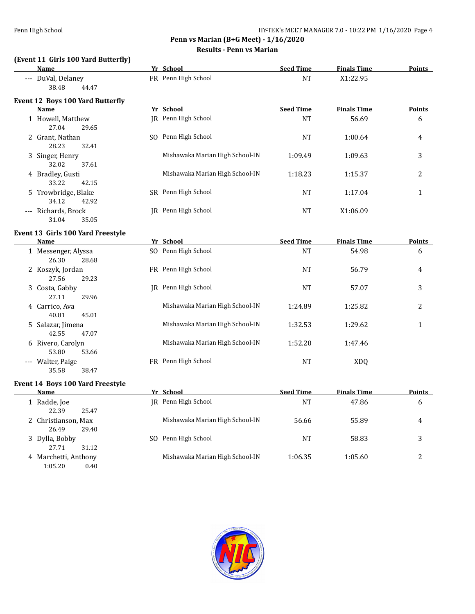# **(Event 11 Girls 100 Yard Butterfly)**

| Name                                             | Yr School                       | <b>Seed Time</b> | <b>Finals Time</b> | <b>Points</b> |
|--------------------------------------------------|---------------------------------|------------------|--------------------|---------------|
| --- DuVal, Delaney<br>38.48<br>44.47             | FR Penn High School             | <b>NT</b>        | X1:22.95           |               |
| <b>Event 12 Boys 100 Yard Butterfly</b><br>Name  | Yr School                       | <b>Seed Time</b> | <b>Finals Time</b> | <b>Points</b> |
|                                                  |                                 |                  |                    |               |
| 1 Howell, Matthew<br>27.04<br>29.65              | JR Penn High School             | <b>NT</b>        | 56.69              | 6             |
| 2 Grant, Nathan<br>28.23<br>32.41                | SO Penn High School             | <b>NT</b>        | 1:00.64            | 4             |
| 3 Singer, Henry<br>32.02<br>37.61                | Mishawaka Marian High School-IN | 1:09.49          | 1:09.63            | 3             |
| 4 Bradley, Gusti<br>33.22<br>42.15               | Mishawaka Marian High School-IN | 1:18.23          | 1:15.37            | 2             |
| 5 Trowbridge, Blake<br>34.12<br>42.92            | SR Penn High School             | <b>NT</b>        | 1:17.04            | $\mathbf{1}$  |
| --- Richards, Brock<br>31.04<br>35.05            | JR Penn High School             | <b>NT</b>        | X1:06.09           |               |
| Event 13 Girls 100 Yard Freestyle<br><b>Name</b> | Yr School                       | <b>Seed Time</b> | <b>Finals Time</b> | <b>Points</b> |
|                                                  |                                 |                  |                    |               |
| 1 Messenger, Alyssa<br>26.30<br>28.68            | SO Penn High School             | <b>NT</b>        | 54.98              | 6             |
| 2 Koszyk, Jordan<br>27.56<br>29.23               | FR Penn High School             | <b>NT</b>        | 56.79              | 4             |
| 3 Costa, Gabby<br>27.11<br>29.96                 | IR Penn High School             | <b>NT</b>        | 57.07              | 3             |
| 4 Carrico, Ava<br>40.81<br>45.01                 | Mishawaka Marian High School-IN | 1:24.89          | 1:25.82            | 2             |
| 5 Salazar, Jimena<br>42.55<br>47.07              | Mishawaka Marian High School-IN | 1:32.53          | 1:29.62            | $\mathbf{1}$  |
| 6 Rivero, Carolyn<br>53.80<br>53.66              | Mishawaka Marian High School-IN | 1:52.20          | 1:47.46            |               |
| --- Walter, Paige<br>35.58<br>38.47              | FR Penn High School             | NT               | <b>XDQ</b>         |               |
| Event 14 Boys 100 Yard Freestyle<br>Name         | Yr School                       | <b>Seed Time</b> | <b>Finals Time</b> | <b>Points</b> |
|                                                  |                                 |                  |                    |               |
| 1 Radde, Joe<br>22.39<br>25.47                   | JR Penn High School             | <b>NT</b>        | 47.86              | 6             |
| 2 Christianson, Max<br>26.49<br>29.40            | Mishawaka Marian High School-IN | 56.66            | 55.89              | 4             |
| 3 Dylla, Bobby<br>27.71<br>31.12                 | SO Penn High School             | NT               | 58.83              | 3             |
| 4 Marchetti, Anthony                             | Mishawaka Marian High School-IN | 1:06.35          | 1:05.60            | 2             |

1:05.20 0.40

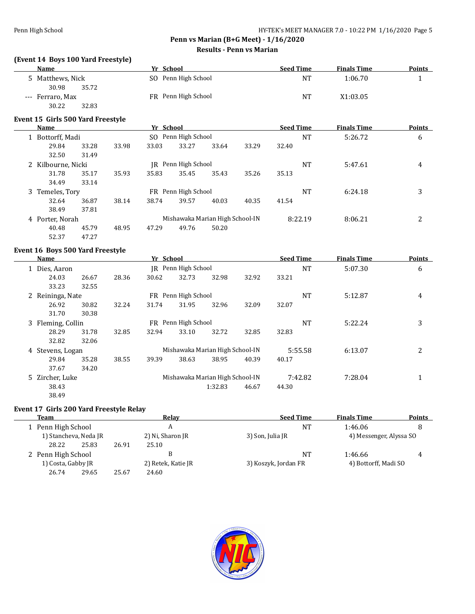# **(Event 14 Boys 100 Yard Freestyle)**

| <b>Name</b>      | Yr School              | <b>Seed Time</b> | <b>Finals Time</b> | <b>Points</b> |
|------------------|------------------------|------------------|--------------------|---------------|
| 5 Matthews, Nick | SO Penn High School    | <b>NT</b>        | 1:06.70            |               |
| 35.72<br>30.98   |                        |                  |                    |               |
| --- Ferraro, Max | Penn High School<br>FR | NT               | X1:03.05           |               |
| 30.22<br>32.83   |                        |                  |                    |               |

#### **Event 15 Girls 500 Yard Freestyle**

| Name                                         |       |                         | Yr School           |           |                                 |       | <b>Seed Time</b> |         | <b>Finals Time</b> | <b>Points</b> |
|----------------------------------------------|-------|-------------------------|---------------------|-----------|---------------------------------|-------|------------------|---------|--------------------|---------------|
| 1 Bottorff, Madi                             |       | Penn High School<br>SO. |                     |           |                                 | NT    | 5:26.72          | 6       |                    |               |
| 29.84                                        | 33.28 | 33.98                   | 33.03               | 33.27     | 33.64                           | 33.29 | 32.40            |         |                    |               |
| 32.50                                        | 31.49 |                         |                     |           |                                 |       |                  |         |                    |               |
| Penn High School<br>2 Kilbourne, Nicki<br>IR |       |                         |                     | <b>NT</b> | 5:47.61                         | 4     |                  |         |                    |               |
| 31.78                                        | 35.17 | 35.93                   | 35.83               | 35.45     | 35.43                           | 35.26 | 35.13            |         |                    |               |
| 34.49                                        | 33.14 |                         |                     |           |                                 |       |                  |         |                    |               |
| Temeles, Tory<br>3                           |       |                         | FR Penn High School |           |                                 |       | <b>NT</b>        | 6:24.18 | 3                  |               |
| 32.64                                        | 36.87 | 38.14                   | 38.74               | 39.57     | 40.03                           | 40.35 | 41.54            |         |                    |               |
| 38.49                                        | 37.81 |                         |                     |           |                                 |       |                  |         |                    |               |
| 4 Porter, Norah                              |       |                         |                     |           | Mishawaka Marian High School-IN |       | 8:22.19          |         | 8:06.21            | 2             |
| 40.48                                        | 45.79 | 48.95                   | 47.29               | 49.76     | 50.20                           |       |                  |         |                    |               |
| 52.37                                        | 47.27 |                         |                     |           |                                 |       |                  |         |                    |               |

#### **Event 16 Boys 500 Yard Freestyle**

| Name              |                     |       | Yr School |                                 |                                 |           | <b>Seed Time</b> | <b>Finals Time</b> | <b>Points</b> |
|-------------------|---------------------|-------|-----------|---------------------------------|---------------------------------|-----------|------------------|--------------------|---------------|
| 1 Dies, Aaron     |                     |       | IR        | Penn High School                |                                 | <b>NT</b> | 5:07.30          | 6                  |               |
| 24.03             | 26.67               | 28.36 | 30.62     | 32.73                           | 32.98                           | 32.92     | 33.21            |                    |               |
| 33.23             | 32.55               |       |           |                                 |                                 |           |                  |                    |               |
| 2 Reininga, Nate  | FR Penn High School |       |           |                                 |                                 | <b>NT</b> | 5:12.87          | 4                  |               |
| 26.92             | 30.82               | 32.24 | 31.74     | 31.95                           | 32.96                           | 32.09     | 32.07            |                    |               |
| 31.70             | 30.38               |       |           |                                 |                                 |           |                  |                    |               |
| 3 Fleming, Collin |                     |       |           | FR Penn High School             |                                 |           | <b>NT</b>        | 5:22.24            | 3             |
| 28.29             | 31.78               | 32.85 | 32.94     | 33.10                           | 32.72                           | 32.85     | 32.83            |                    |               |
| 32.82             | 32.06               |       |           |                                 |                                 |           |                  |                    |               |
|                   | 4 Stevens, Logan    |       |           | Mishawaka Marian High School-IN |                                 |           | 5:55.58          | 6:13.07            | 2             |
| 29.84             | 35.28               | 38.55 | 39.39     | 38.63                           | 38.95                           | 40.39     | 40.17            |                    |               |
| 37.67             | 34.20               |       |           |                                 |                                 |           |                  |                    |               |
| 5 Zircher, Luke   |                     |       |           |                                 | Mishawaka Marian High School-IN |           | 7:42.82          | 7:28.04            | 1             |
| 38.43             |                     |       |           |                                 | 1:32.83                         | 46.67     | 44.30            |                    |               |
| 38.49             |                     |       |           |                                 |                                 |           |                  |                    |               |

#### **Event 17 Girls 200 Yard Freestyle Relay**

|  | Team                                     |       |       | Relav              |                      | <b>Seed Time</b> | <b>Finals Time</b>      | <b>Points</b> |
|--|------------------------------------------|-------|-------|--------------------|----------------------|------------------|-------------------------|---------------|
|  | 1 Penn High School                       |       |       | A                  |                      | <b>NT</b>        | 1:46.06                 |               |
|  | 1) Stancheva, Neda JR                    |       |       | 2) Ni, Sharon JR   | 3) Son, Julia JR     |                  | 4) Messenger, Alyssa SO |               |
|  | 28.22                                    | 25.83 | 26.91 | 25.10              |                      |                  |                         |               |
|  | 2 Penn High School<br>1) Costa, Gabby JR |       |       | В                  |                      | <b>NT</b>        | 1:46.66                 | 4             |
|  |                                          |       |       | 2) Retek, Katie JR | 3) Koszyk, Jordan FR |                  | 4) Bottorff, Madi SO    |               |
|  | 26.74                                    | 29.65 | 25.67 | 24.60              |                      |                  |                         |               |

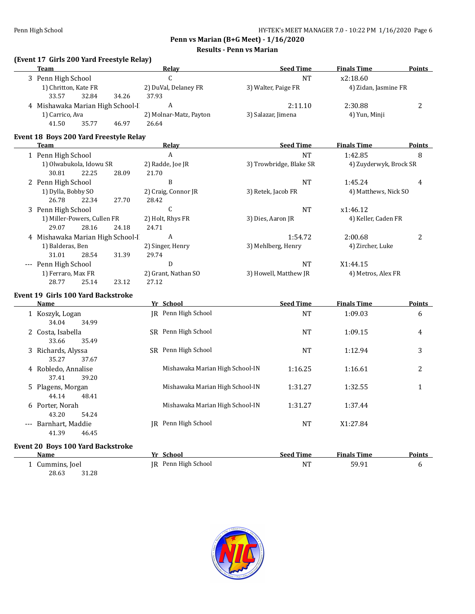**Penn vs Marian (B+G Meet) - 1/16/2020**

**Results - Penn vs Marian**

# **(Event 17 Girls 200 Yard Freestyle Relay)**

| <b>Team</b>                                            | <b>Relay</b>                    |                                 | <b>Seed Time</b>        | <b>Finals Time</b>     | <b>Points</b> |
|--------------------------------------------------------|---------------------------------|---------------------------------|-------------------------|------------------------|---------------|
| 3 Penn High School                                     | $\mathsf{C}$                    |                                 | $\rm{NT}$               | x2:18.60               |               |
| 1) Chritton, Kate FR<br>32.84<br>33.57<br>34.26        | 2) DuVal, Delaney FR<br>37.93   |                                 | 3) Walter, Paige FR     | 4) Zidan, Jasmine FR   |               |
| 4 Mishawaka Marian High School-I                       | A                               |                                 | 2:11.10                 | 2:30.88                | 2             |
| 1) Carrico, Ava<br>41.50<br>35.77<br>46.97             | 2) Molnar-Matz, Payton<br>26.64 |                                 | 3) Salazar, Jimena      | 4) Yun, Minji          |               |
| Event 18 Boys 200 Yard Freestyle Relay<br>Team         | Relay                           |                                 | <b>Seed Time</b>        | <b>Finals Time</b>     | <b>Points</b> |
| 1 Penn High School                                     | $\, {\bf A}$                    |                                 | $\rm{NT}$               | 1:42.85                | 8             |
| 1) Olwabukola, Idowu SR<br>30.81<br>22.25<br>28.09     | 2) Radde, Joe JR<br>21.70       |                                 | 3) Trowbridge, Blake SR | 4) Zuyderwyk, Brock SR |               |
| 2 Penn High School                                     | B                               |                                 | NT                      | 1:45.24                | 4             |
| 1) Dylla, Bobby SO<br>26.78<br>22.34<br>27.70          | 2) Craig, Connor JR<br>28.42    |                                 | 3) Retek, Jacob FR      | 4) Matthews, Nick SO   |               |
| 3 Penn High School                                     | $\mathsf C$                     |                                 | <b>NT</b>               | x1:46.12               |               |
| 1) Miller-Powers, Cullen FR<br>29.07<br>28.16<br>24.18 | 2) Holt, Rhys FR<br>24.71       | 3) Dies, Aaron JR               |                         | 4) Keller, Caden FR    |               |
| 4 Mishawaka Marian High School-I                       | $\boldsymbol{A}$                |                                 | 1:54.72                 | 2:00.68                | 2             |
| 1) Balderas, Ben<br>31.01<br>28.54<br>31.39            | 2) Singer, Henry<br>29.74       |                                 | 3) Mehlberg, Henry      | 4) Zircher, Luke       |               |
| --- Penn High School                                   | D                               |                                 | NT                      | X1:44.15               |               |
| 1) Ferraro, Max FR<br>28.77<br>25.14<br>23.12          | 2) Grant, Nathan SO<br>27.12    |                                 | 3) Howell, Matthew JR   | 4) Metros, Alex FR     |               |
| <b>Event 19 Girls 100 Yard Backstroke</b>              |                                 |                                 |                         |                        |               |
| Name                                                   | Yr School                       |                                 | <b>Seed Time</b>        | <b>Finals Time</b>     | <b>Points</b> |
| 1 Koszyk, Logan<br>34.04<br>34.99                      | JR Penn High School             |                                 | NT                      | 1:09.03                | 6             |
| 2 Costa, Isabella<br>33.66<br>35.49                    | SR Penn High School             |                                 | <b>NT</b>               | 1:09.15                | 4             |
| 3 Richards, Alyssa<br>35.27<br>37.67                   | SR Penn High School             |                                 | <b>NT</b>               | 1:12.94                | 3             |
| 4 Robledo, Annalise<br>37.41<br>39.20                  |                                 | Mishawaka Marian High School-IN | 1:16.25                 | 1:16.61                | 2             |
| 5 Plagens, Morgan<br>44.14<br>48.41                    |                                 | Mishawaka Marian High School-IN | 1:31.27                 | 1:32.55                | $\mathbf{1}$  |
| 6 Porter, Norah<br>43.20<br>54.24                      |                                 | Mishawaka Marian High School-IN | 1:31.27                 | 1:37.44                |               |
| --- Barnhart, Maddie<br>41.39<br>46.45                 | JR Penn High School             |                                 | NT                      | X1:27.84               |               |
| Event 20 Boys 100 Yard Backstroke<br><b>Name</b>       | Yr School                       |                                 | <b>Seed Time</b>        | <b>Finals Time</b>     | <b>Points</b> |
| 1 Cummins, Joel                                        | IR Penn High School             |                                 | <b>NT</b>               | 59.91                  | 6             |
| 28.63<br>31.28                                         |                                 |                                 |                         |                        |               |

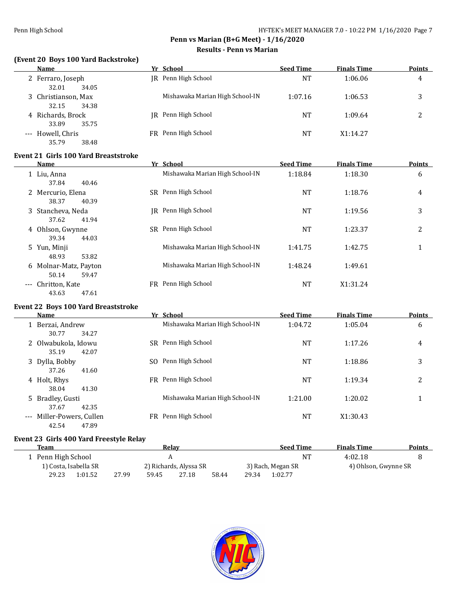# **(Event 20 Boys 100 Yard Backstroke)**

| Name                                  | Yr School                       | <b>Seed Time</b> | <b>Finals Time</b> | <b>Points</b> |
|---------------------------------------|---------------------------------|------------------|--------------------|---------------|
| 2 Ferraro, Joseph<br>32.01<br>34.05   | IR Penn High School             | NT               | 1:06.06            | 4             |
| 3 Christianson, Max<br>34.38<br>32.15 | Mishawaka Marian High School-IN | 1:07.16          | 1:06.53            | 3             |
| 4 Richards, Brock<br>35.75<br>33.89   | IR Penn High School             | NT               | 1:09.64            | っ             |
| --- Howell, Chris<br>35.79<br>38.48   | FR Penn High School             | <b>NT</b>        | X1:14.27           |               |

#### **Event 21 Girls 100 Yard Breaststroke**

| Name                                    |    | Yr School                       | <b>Seed Time</b> | <b>Finals Time</b> | <b>Points</b> |
|-----------------------------------------|----|---------------------------------|------------------|--------------------|---------------|
| 1 Liu, Anna<br>37.84<br>40.46           |    | Mishawaka Marian High School-IN | 1:18.84          | 1:18.30            | 6             |
| 2 Mercurio, Elena<br>40.39<br>38.37     |    | SR Penn High School             | NT               | 1:18.76            | 4             |
| 3 Stancheva, Neda<br>37.62<br>41.94     | IR | Penn High School                | NT               | 1:19.56            | 3             |
| 4 Ohlson, Gwynne<br>39.34<br>44.03      |    | SR Penn High School             | NT               | 1:23.37            | 2             |
| 5 Yun, Minji<br>48.93<br>53.82          |    | Mishawaka Marian High School-IN | 1:41.75          | 1:42.75            | 1             |
| 6 Molnar-Matz, Payton<br>50.14<br>59.47 |    | Mishawaka Marian High School-IN | 1:48.24          | 1:49.61            |               |
| --- Chritton, Kate<br>47.61<br>43.63    | FR | Penn High School                | NT               | X1:31.24           |               |

# **Event 22 Boys 100 Yard Breaststroke**

| Name                |                       |     | Yr School                       | <b>Seed Time</b> | <b>Finals Time</b> | <b>Points</b> |
|---------------------|-----------------------|-----|---------------------------------|------------------|--------------------|---------------|
|                     | 1 Berzai, Andrew      |     | Mishawaka Marian High School-IN | 1:04.72          | 1:05.04            | 6             |
|                     | 34.27<br>30.77        |     |                                 |                  |                    |               |
|                     | 2 Olwabukola, Idowu   |     | SR Penn High School             | NT               | 1:17.26            | 4             |
|                     | 35.19<br>42.07        |     |                                 |                  |                    |               |
|                     | 3 Dylla, Bobby        | SO. | Penn High School                | <b>NT</b>        | 1:18.86            | 3             |
|                     | 37.26<br>41.60        |     |                                 |                  |                    |               |
| 4 Holt, Rhys        |                       |     | FR Penn High School             | <b>NT</b>        | 1:19.34            | 2             |
|                     | 38.04<br>41.30        |     |                                 |                  |                    |               |
|                     | 5 Bradley, Gusti      |     | Mishawaka Marian High School-IN | 1:21.00          | 1:20.02            |               |
|                     | 42.35<br>37.67        |     |                                 |                  |                    |               |
| $\qquad \qquad - -$ | Miller-Powers, Cullen |     | FR Penn High School             | NT               | X1:30.43           |               |
|                     | 42.54<br>47.89        |     |                                 |                  |                    |               |

#### **Event 23 Girls 400 Yard Freestyle Relay**

| Team             |                       |       |       | Relav                  |       |       | <b>Seed Time</b>  | <b>Finals Time</b>   | <b>Points</b> |
|------------------|-----------------------|-------|-------|------------------------|-------|-------|-------------------|----------------------|---------------|
| Penn High School |                       |       |       |                        |       |       | <b>NT</b>         | 4:02.18              |               |
|                  | 1) Costa, Isabella SR |       |       | 2) Richards, Alyssa SR |       |       | 3) Rach, Megan SR | 4) Ohlson, Gwynne SR |               |
| 29.23            | 1:01.52               | 27.99 | 59.45 | 27.18                  | 58.44 | 29.34 | 1:02.77           |                      |               |